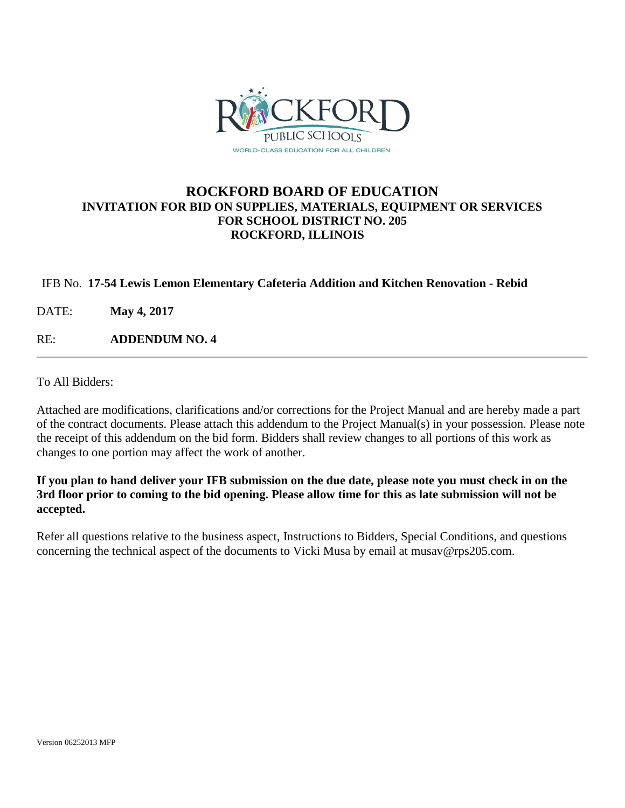

### **ROCKFORD BOARD OF EDUCATION INVITATION FOR BID ON SUPPLIES, MATERIALS, EQUIPMENT OR SERVICES FOR SCHOOL DISTRICT NO. 205 ROCKFORD, ILLINOIS**

#### IFB No. **17-54 Lewis Lemon Elementary Cafeteria Addition and Kitchen Renovation - Rebid**

DATE: **May 4, 2017**

RE: **ADDENDUM NO. 4**

To All Bidders:

Attached are modifications, clarifications and/or corrections for the Project Manual and are hereby made a part of the contract documents. Please attach this addendum to the Project Manual(s) in your possession. Please note the receipt of this addendum on the bid form. Bidders shall review changes to all portions of this work as changes to one portion may affect the work of another.

**If you plan to hand deliver your IFB submission on the due date, please note you must check in on the 3rd floor prior to coming to the bid opening. Please allow time for this as late submission will not be accepted.**

Refer all questions relative to the business aspect, Instructions to Bidders, Special Conditions, and questions concerning the technical aspect of the documents to Vicki Musa by email at musav@rps205.com.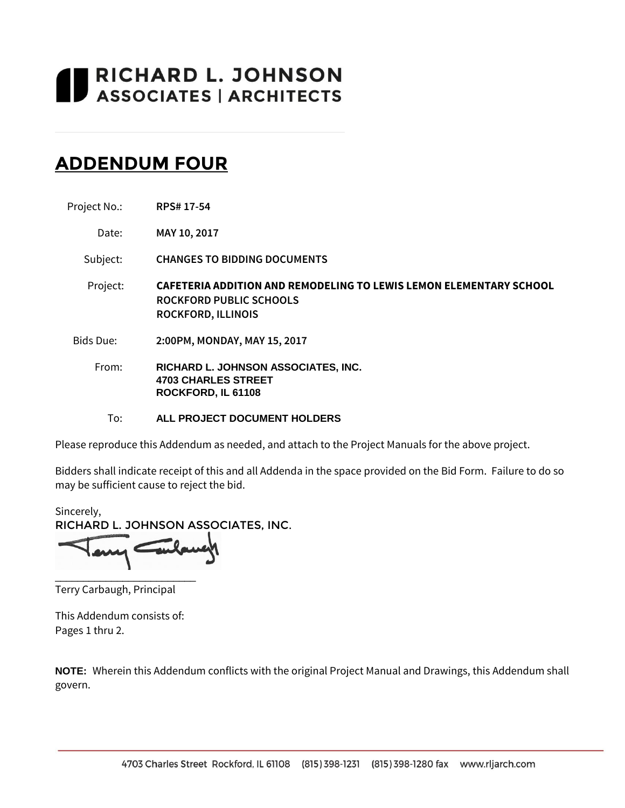# RICHARD L. JOHNSON<br>ASSOCIATES | ARCHITECTS

# **ADDENDUM FOUR**

| Project No.: | <b>RPS#17-54</b> |
|--------------|------------------|

Date: **MAY 10, 2017**

Subject: **CHANGES TO BIDDING DOCUMENTS**

- Project: **CAFETERIA ADDITION AND REMODELING TO LEWIS LEMON ELEMENTARY SCHOOL ROCKFORD PUBLIC SCHOOLS ROCKFORD, ILLINOIS**
- Bids Due: **2:00PM, MONDAY, MAY 15, 2017**
	- From: **RICHARD L. JOHNSON ASSOCIATES, INC. 4703 CHARLES STREET ROCKFORD, IL 61108**
		- To: **ALL PROJECT DOCUMENT HOLDERS**

Please reproduce this Addendum as needed, and attach to the Project Manuals for the above project.

Bidders shall indicate receipt of this and all Addenda in the space provided on the Bid Form. Failure to do so may be sufficient cause to reject the bid.

Sincerely, RICHARD L. JOHNSON ASSOCIATES, INC.

Terry Carbaugh, Principal

\_\_\_\_\_\_\_\_\_\_\_\_\_\_\_\_\_\_\_\_\_\_\_\_\_

This Addendum consists of: Pages 1 thru 2.

**NOTE:** Wherein this Addendum conflicts with the original Project Manual and Drawings, this Addendum shall govern.